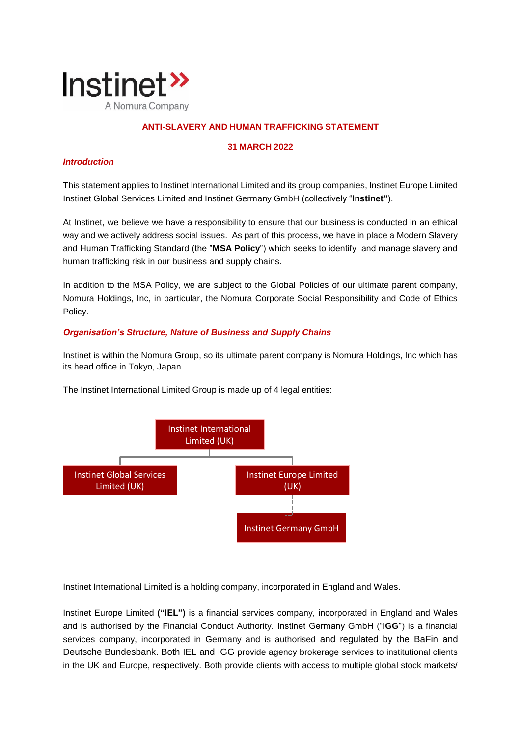

# **ANTI-SLAVERY AND HUMAN TRAFFICKING STATEMENT**

### **31 MARCH 2022**

# *Introduction*

This statement applies to Instinet International Limited and its group companies, Instinet Europe Limited Instinet Global Services Limited and Instinet Germany GmbH (collectively "**Instinet"**).

At Instinet, we believe we have a responsibility to ensure that our business is conducted in an ethical way and we actively address social issues. As part of this process, we have in place a Modern Slavery and Human Trafficking Standard (the "**MSA Policy**") which seeks to identify and manage slavery and human trafficking risk in our business and supply chains.

In addition to the MSA Policy, we are subject to the Global Policies of our ultimate parent company, Nomura Holdings, Inc, in particular, the Nomura Corporate Social Responsibility and Code of Ethics Policy.

## *Organisation's Structure, Nature of Business and Supply Chains*

Instinet is within the Nomura Group, so its ultimate parent company is Nomura Holdings, Inc which has its head office in Tokyo, Japan.



The Instinet International Limited Group is made up of 4 legal entities:

Instinet International Limited is a holding company, incorporated in England and Wales.

Instinet Europe Limited **("IEL")** is a financial services company, incorporated in England and Wales and is authorised by the Financial Conduct Authority. Instinet Germany GmbH ("**IGG**") is a financial services company, incorporated in Germany and is authorised and regulated by the BaFin and Deutsche Bundesbank. Both IEL and IGG provide agency brokerage services to institutional clients in the UK and Europe, respectively. Both provide clients with access to multiple global stock markets/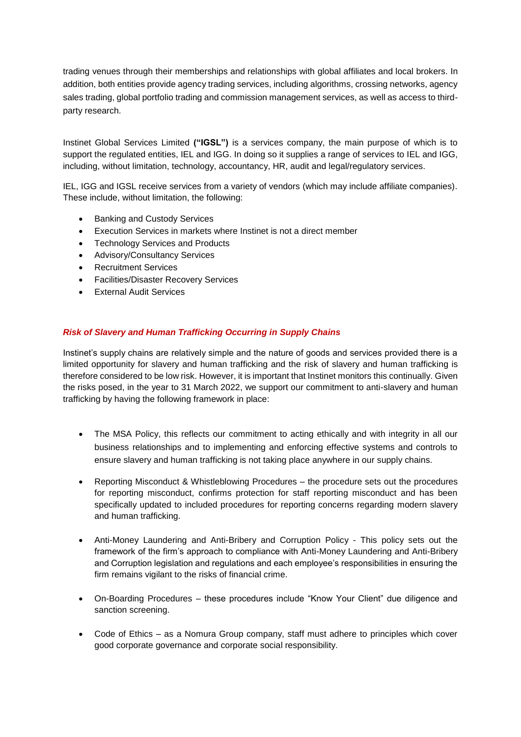trading venues through their memberships and relationships with global affiliates and local brokers. In addition, both entities provide agency trading services, including algorithms, crossing networks, agency sales trading, global portfolio trading and commission management services, as well as access to thirdparty research.

Instinet Global Services Limited **("IGSL")** is a services company, the main purpose of which is to support the regulated entities, IEL and IGG. In doing so it supplies a range of services to IEL and IGG, including, without limitation, technology, accountancy, HR, audit and legal/regulatory services.

IEL, IGG and IGSL receive services from a variety of vendors (which may include affiliate companies). These include, without limitation, the following:

- Banking and Custody Services
- Execution Services in markets where Instinet is not a direct member
- Technology Services and Products
- Advisory/Consultancy Services
- Recruitment Services
- Facilities/Disaster Recovery Services
- **External Audit Services**

# *Risk of Slavery and Human Trafficking Occurring in Supply Chains*

Instinet's supply chains are relatively simple and the nature of goods and services provided there is a limited opportunity for slavery and human trafficking and the risk of slavery and human trafficking is therefore considered to be low risk. However, it is important that Instinet monitors this continually. Given the risks posed, in the year to 31 March 2022, we support our commitment to anti-slavery and human trafficking by having the following framework in place:

- The MSA Policy, this reflects our commitment to acting ethically and with integrity in all our business relationships and to implementing and enforcing effective systems and controls to ensure slavery and human trafficking is not taking place anywhere in our supply chains.
- Reporting Misconduct & Whistleblowing Procedures the procedure sets out the procedures for reporting misconduct, confirms protection for staff reporting misconduct and has been specifically updated to included procedures for reporting concerns regarding modern slavery and human trafficking.
- Anti-Money Laundering and Anti-Bribery and Corruption Policy This policy sets out the framework of the firm's approach to compliance with Anti-Money Laundering and Anti-Bribery and Corruption legislation and regulations and each employee's responsibilities in ensuring the firm remains vigilant to the risks of financial crime.
- On-Boarding Procedures these procedures include "Know Your Client" due diligence and sanction screening.
- Code of Ethics as a Nomura Group company, staff must adhere to principles which cover good corporate governance and corporate social responsibility.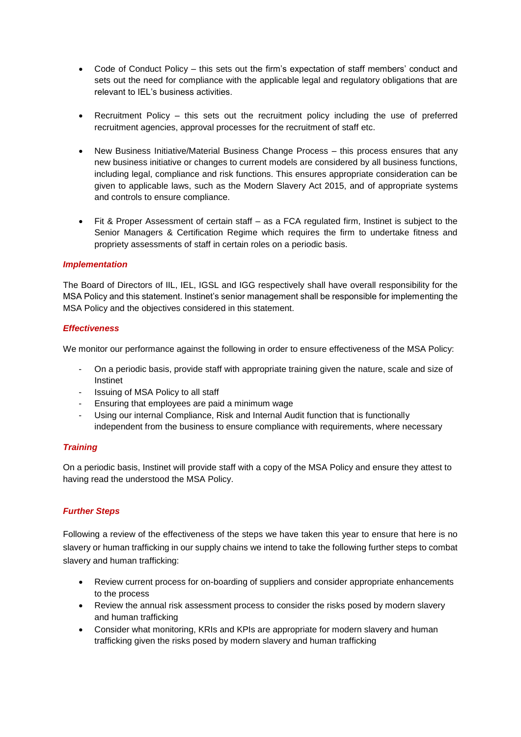- Code of Conduct Policy this sets out the firm's expectation of staff members' conduct and sets out the need for compliance with the applicable legal and regulatory obligations that are relevant to IEL's business activities.
- Recruitment Policy this sets out the recruitment policy including the use of preferred recruitment agencies, approval processes for the recruitment of staff etc.
- New Business Initiative/Material Business Change Process this process ensures that any new business initiative or changes to current models are considered by all business functions, including legal, compliance and risk functions. This ensures appropriate consideration can be given to applicable laws, such as the Modern Slavery Act 2015, and of appropriate systems and controls to ensure compliance.
- Fit & Proper Assessment of certain staff as a FCA regulated firm, Instinet is subject to the Senior Managers & Certification Regime which requires the firm to undertake fitness and propriety assessments of staff in certain roles on a periodic basis.

### *Implementation*

The Board of Directors of IIL, IEL, IGSL and IGG respectively shall have overall responsibility for the MSA Policy and this statement. Instinet's senior management shall be responsible for implementing the MSA Policy and the objectives considered in this statement.

### *Effectiveness*

We monitor our performance against the following in order to ensure effectiveness of the MSA Policy:

- On a periodic basis, provide staff with appropriate training given the nature, scale and size of Instinet
- Issuing of MSA Policy to all staff
- Ensuring that employees are paid a minimum wage
- Using our internal Compliance, Risk and Internal Audit function that is functionally independent from the business to ensure compliance with requirements, where necessary

## *Training*

On a periodic basis, Instinet will provide staff with a copy of the MSA Policy and ensure they attest to having read the understood the MSA Policy.

## *Further Steps*

Following a review of the effectiveness of the steps we have taken this year to ensure that here is no slavery or human trafficking in our supply chains we intend to take the following further steps to combat slavery and human trafficking:

- Review current process for on-boarding of suppliers and consider appropriate enhancements to the process
- Review the annual risk assessment process to consider the risks posed by modern slavery and human trafficking
- Consider what monitoring, KRIs and KPIs are appropriate for modern slavery and human trafficking given the risks posed by modern slavery and human trafficking